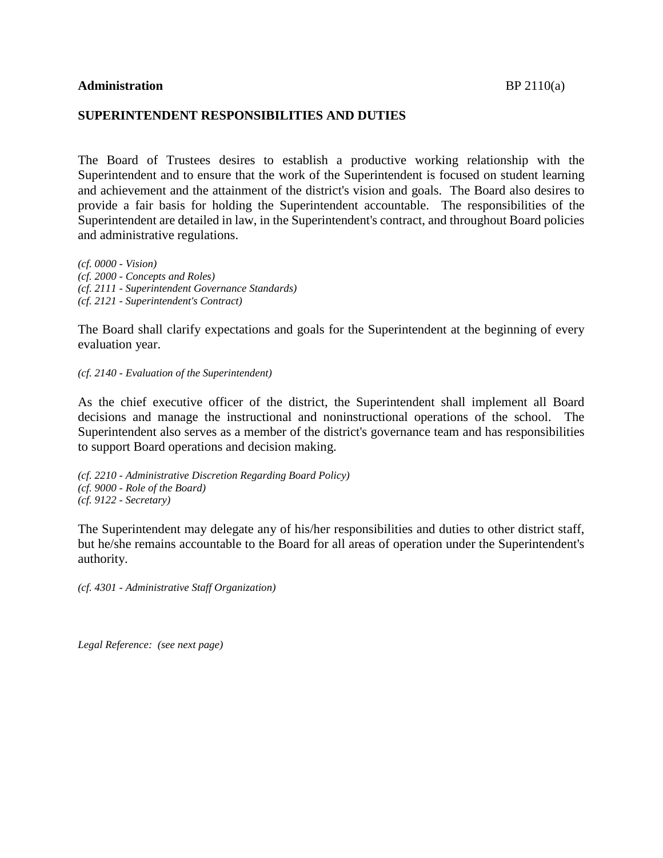## **Administration** BP 2110(a)

## **SUPERINTENDENT RESPONSIBILITIES AND DUTIES**

The Board of Trustees desires to establish a productive working relationship with the Superintendent and to ensure that the work of the Superintendent is focused on student learning and achievement and the attainment of the district's vision and goals. The Board also desires to provide a fair basis for holding the Superintendent accountable. The responsibilities of the Superintendent are detailed in law, in the Superintendent's contract, and throughout Board policies and administrative regulations.

*(cf. 0000 - Vision) (cf. 2000 - Concepts and Roles) (cf. 2111 - Superintendent Governance Standards) (cf. 2121 - Superintendent's Contract)*

The Board shall clarify expectations and goals for the Superintendent at the beginning of every evaluation year.

*(cf. 2140 - Evaluation of the Superintendent)*

As the chief executive officer of the district, the Superintendent shall implement all Board decisions and manage the instructional and noninstructional operations of the school. The Superintendent also serves as a member of the district's governance team and has responsibilities to support Board operations and decision making.

*(cf. 2210 - Administrative Discretion Regarding Board Policy) (cf. 9000 - Role of the Board) (cf. 9122 - Secretary)*

The Superintendent may delegate any of his/her responsibilities and duties to other district staff, but he/she remains accountable to the Board for all areas of operation under the Superintendent's authority.

*(cf. 4301 - Administrative Staff Organization)*

*Legal Reference: (see next page)*